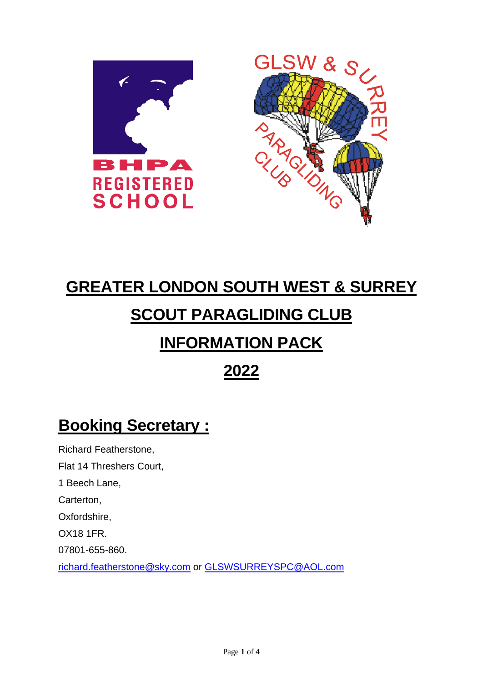



# **GREATER LONDON SOUTH WEST & SURREY SCOUT PARAGLIDING CLUB INFORMATION PACK**

**2022**

## **Booking Secretary :**

Richard Featherstone, Flat 14 Threshers Court, 1 Beech Lane, Carterton, Oxfordshire, OX18 1FR. 07801-655-860. [richard.featherstone@sky.com](mailto:richard.featherstone@sky.com) or [GLSWSURREYSPC@AOL.com](mailto:GLSWSURREYSPC@AOL.com)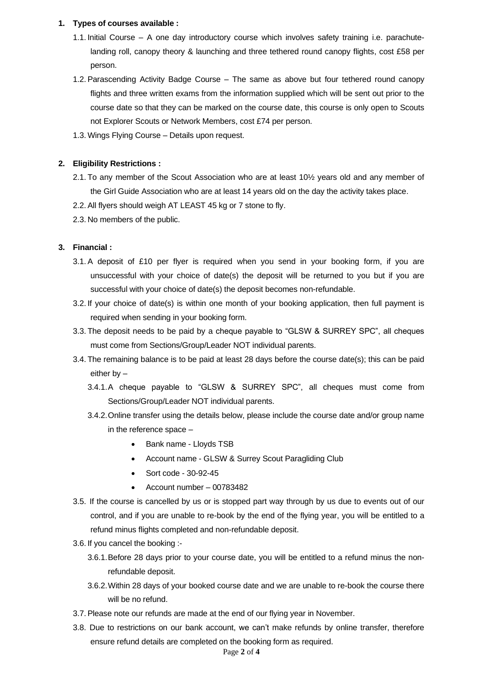#### **1. Types of courses available :**

- 1.1. Initial Course A one day introductory course which involves safety training i.e. parachutelanding roll, canopy theory & launching and three tethered round canopy flights, cost £58 per person.
- 1.2.Parascending Activity Badge Course The same as above but four tethered round canopy flights and three written exams from the information supplied which will be sent out prior to the course date so that they can be marked on the course date, this course is only open to Scouts not Explorer Scouts or Network Members, cost £74 per person.
- 1.3. Wings Flying Course Details upon request.

#### **2. Eligibility Restrictions :**

- 2.1. To any member of the Scout Association who are at least 10½ years old and any member of the Girl Guide Association who are at least 14 years old on the day the activity takes place.
- 2.2.All flyers should weigh AT LEAST 45 kg or 7 stone to fly.
- 2.3. No members of the public.

#### **3. Financial :**

- 3.1.A deposit of £10 per flyer is required when you send in your booking form, if you are unsuccessful with your choice of date(s) the deposit will be returned to you but if you are successful with your choice of date(s) the deposit becomes non-refundable.
- 3.2. If your choice of date(s) is within one month of your booking application, then full payment is required when sending in your booking form.
- 3.3. The deposit needs to be paid by a cheque payable to "GLSW & SURREY SPC", all cheques must come from Sections/Group/Leader NOT individual parents.
- 3.4. The remaining balance is to be paid at least 28 days before the course date(s); this can be paid either by –
	- 3.4.1.A cheque payable to "GLSW & SURREY SPC", all cheques must come from Sections/Group/Leader NOT individual parents.
	- 3.4.2.Online transfer using the details below, please include the course date and/or group name in the reference space –
		- Bank name Lloyds TSB
		- Account name GLSW & Surrey Scout Paragliding Club
		- Sort code 30-92-45
		- Account number 00783482
- 3.5. If the course is cancelled by us or is stopped part way through by us due to events out of our control, and if you are unable to re-book by the end of the flying year, you will be entitled to a refund minus flights completed and non-refundable deposit.
- 3.6. If you cancel the booking :-
	- 3.6.1.Before 28 days prior to your course date, you will be entitled to a refund minus the nonrefundable deposit.
	- 3.6.2.Within 28 days of your booked course date and we are unable to re-book the course there will be no refund.
- 3.7.Please note our refunds are made at the end of our flying year in November.
- 3.8. Due to restrictions on our bank account, we can't make refunds by online transfer, therefore ensure refund details are completed on the booking form as required.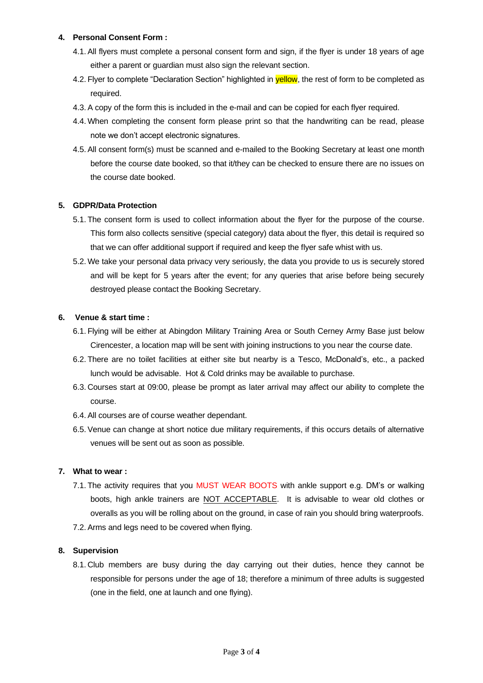#### **4. Personal Consent Form :**

- 4.1.All flyers must complete a personal consent form and sign, if the flyer is under 18 years of age either a parent or guardian must also sign the relevant section.
- 4.2. Flyer to complete "Declaration Section" highlighted in **yellow**, the rest of form to be completed as required.
- 4.3.A copy of the form this is included in the e-mail and can be copied for each flyer required.
- 4.4. When completing the consent form please print so that the handwriting can be read, please note we don't accept electronic signatures.
- 4.5.All consent form(s) must be scanned and e-mailed to the Booking Secretary at least one month before the course date booked, so that it/they can be checked to ensure there are no issues on the course date booked.

#### **5. GDPR/Data Protection**

- 5.1. The consent form is used to collect information about the flyer for the purpose of the course. This form also collects sensitive (special category) data about the flyer, this detail is required so that we can offer additional support if required and keep the flyer safe whist with us.
- 5.2. We take your personal data privacy very seriously, the data you provide to us is securely stored and will be kept for 5 years after the event; for any queries that arise before being securely destroyed please contact the Booking Secretary.

#### **6. Venue & start time :**

- 6.1. Flying will be either at Abingdon Military Training Area or South Cerney Army Base just below Cirencester, a location map will be sent with joining instructions to you near the course date.
- 6.2. There are no toilet facilities at either site but nearby is a Tesco, McDonald's, etc., a packed lunch would be advisable. Hot & Cold drinks may be available to purchase.
- 6.3. Courses start at 09:00, please be prompt as later arrival may affect our ability to complete the course.
- 6.4.All courses are of course weather dependant.
- 6.5.Venue can change at short notice due military requirements, if this occurs details of alternative venues will be sent out as soon as possible.

#### **7. What to wear :**

7.1. The activity requires that you MUST WEAR BOOTS with ankle support e.g. DM's or walking boots, high ankle trainers are NOT ACCEPTABLE. It is advisable to wear old clothes or overalls as you will be rolling about on the ground, in case of rain you should bring waterproofs. 7.2.Arms and legs need to be covered when flying.

#### **8. Supervision**

8.1. Club members are busy during the day carrying out their duties, hence they cannot be responsible for persons under the age of 18; therefore a minimum of three adults is suggested (one in the field, one at launch and one flying).